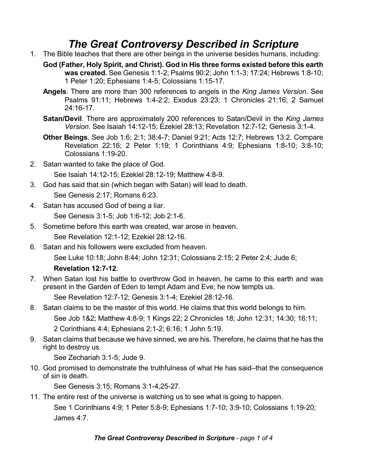## *The Great Controversy Described in Scripture*

- 1. The Bible teaches that there are other beings in the universe besides humans, including:
	- **God (Father, Holy Spirit, and Christ). God in His three forms existed before this earth was created.** See Genesis 1:1-2; Psalms 90:2; John 1:1-3; 17:24; Hebrews 1:8-10; 1 Peter 1:20; Ephesians 1:4-5; Colossians 1:15-17.
	- **Angels**. There are more than 300 references to angels in the *King James Version*. See Psalms 91:11; Hebrews 1:4-2:2; Exodus 23:23; 1 Chronicles 21:16; 2 Samuel 24:16-17.
	- **Satan/Devil**. There are approximately 200 references to Satan/Devil in the *King James Version.* See Isaiah 14:12-15; Ezekiel 28:13; Revelation 12:7-12; Genesis 3:1-4.
	- **Other Beings**. See Job 1:6; 2:1; 38:4-7; Daniel 9:21; Acts 12:7; Hebrews 13:2. Compare Revelation 22:16; 2 Peter 1:19; 1 Corinthians 4:9; Ephesians 1:8-10; 3:8-10; Colossians 1:19-20.
- 2. Satan wanted to take the place of God.

See Isaiah 14:12-15; Ezekiel 28:12-19; Matthew 4:8-9.

- 3. God has said that sin (which began with Satan) will lead to death. See Genesis 2:17; Romans 6:23.
- 4. Satan has accused God of being a liar.

See Genesis 3:1-5; Job 1:6-12; Job 2:1-6.

- 5. Sometime before this earth was created, war arose in heaven. See Revelation 12:1-12; Ezekiel 28:12-16.
- 6. Satan and his followers were excluded from heaven.

See Luke 10:18; John 8:44; John 12:31; Colossians 2:15; 2 Peter 2:4; Jude 6;

## **Revelation 12:7-12**.

7. When Satan lost his battle to overthrow God in heaven, he came to this earth and was present in the Garden of Eden to tempt Adam and Eve; he now tempts us.

See Revelation 12:7-12; Genesis 3:1-4; Ezekiel 28:12-16.

- 8. Satan claims to be the master of this world. He claims that this world belongs to him. See Job 1&2; Matthew 4:8-9; 1 Kings 22; 2 Chronicles 18; John 12:31; 14:30; 16:11; 2 Corinthians 4:4; Ephesians 2:1-2; 6:16; 1 John 5:19.
- 9. Satan claims that because we have sinned, we are his. Therefore, he claims that he has the right to destroy us.

See Zechariah 3:1-5; Jude 9.

10. God promised to demonstrate the truthfulness of what He has said–that the consequence of sin is death.

See Genesis 3:15; Romans 3:1-4,25-27.

11. The entire rest of the universe is watching us to see what is going to happen. See 1 Corinthians 4:9; 1 Peter 5:8-9; Ephesians 1:7-10; 3:9-10; Colossians 1:19-20; James 4:7.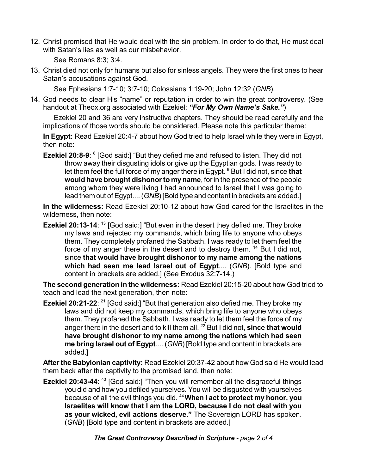12. Christ promised that He would deal with the sin problem. In order to do that, He must deal with Satan's lies as well as our misbehavior.

See Romans 8:3; 3:4.

13. Christ died not only for humans but also for sinless angels. They were the first ones to hear Satan's accusations against God.

See Ephesians 1:7-10; 3:7-10; Colossians 1:19-20; John 12:32 (*GNB*).

14. God needs to clear His "name" or reputation in order to win the great controversy. (See handout at Theox.org associated with Ezekiel: *"For My Own Name's Sake."*)

Ezekiel 20 and 36 are very instructive chapters. They should be read carefully and the implications of those words should be considered. Please note this particular theme:

**In Egypt:** Read Ezekiel 20:4-7 about how God tried to help Israel while they were in Egypt, then note:

**Ezekiel 20:8-9:** <sup>8</sup> [God said:] "But they defied me and refused to listen. They did not throw away their disgusting idols or give up the Egyptian gods. I was ready to let them feel the full force of my anger there in Egypt. <sup>9</sup> But I did not, since **that would have brought dishonorto myname**, for in the presence of the people among whom they were living I had announced to Israel that I was going to lead them out of Egypt....(*GNB*) [Bold type and content in brackets are added.]

**In the wilderness:** Read Ezekiel 20:10-12 about how God cared for the Israelites in the wilderness, then note:

**Ezekiel 20:13-14**: <sup>13</sup> [God said:] "But even in the desert they defied me. They broke my laws and rejected my commands, which bring life to anyone who obeys them. They completely profaned the Sabbath. I was ready to let them feel the force of my anger there in the desert and to destroy them. <sup>14</sup> But I did not, since **that would have brought dishonor to my name among the nations which had seen me lead Israel out of Egypt**.... (*GNB*). [Bold type and content in brackets are added.] (See Exodus 32:7-14.)

**The second generation in the wilderness:** Read Ezekiel 20:15-20 about how God tried to teach and lead the next generation, then note:

**Ezekiel 20:21-22**: <sup>21</sup> [God said;] "But that generation also defied me. They broke my laws and did not keep my commands, which bring life to anyone who obeys them. They profaned the Sabbath. I was ready to let them feel the force of my anger there in the desert and to kill them all. <sup>22</sup> But I did not, **since that would have brought dishonor to my name among the nations which had seen me bring Israel out of Egypt**.... (*GNB*) [Bold type and content in brackets are added.]

**After the Babylonian captivity:** Read Ezekiel 20:37-42 about how God said He would lead them back after the captivity to the promised land, then note:

**Ezekiel 20:43-44**: <sup>43</sup> [God said:] "Then you will remember all the disgraceful things you did and how you defiled yourselves. You will be disgusted with yourselves because of all the evil things you did. <sup>44</sup>**When I act to protect my honor, you Israelites will know that I am the LORD, because I do not deal with you as your wicked, evil actions deserve."** The Sovereign LORD has spoken. (*GNB*) [Bold type and content in brackets are added.]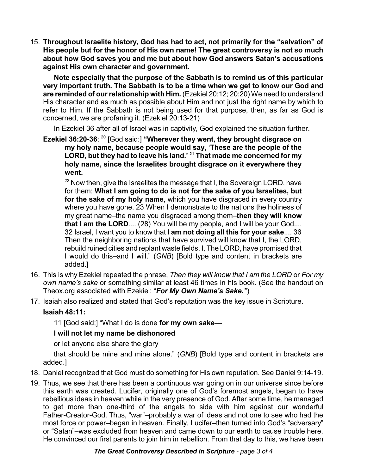15. **Throughout Israelite history, God has had to act, not primarily for the "salvation" of His people but for the honor of His own name! The great controversy is not so much about how God saves you and me but about how God answers Satan's accusations against His own character and government.**

**Note especially that the purpose of the Sabbath is to remind us of this particular very important truth. The Sabbath is to be a time when we get to know our God and are reminded of ourrelationship with Him.** (Ezekiel 20:12; 20:20) We need to understand His character and as much as possible about Him and not just the right name by which to refer to Him. If the Sabbath is not being used for that purpose, then, as far as God is concerned, we are profaning it. (Ezekiel 20:13-21)

In Ezekiel 36 after all of Israel was in captivity, God explained the situation further.

**Ezekiel 36:20-36**: 20 [God said:] **"Wherever they went, they brought disgrace on my holy name, because people would say,** <**These are the people of the LORD, but they had to leave his land.' <sup>21</sup> That made me concerned for my holy name, since the Israelites brought disgrace on it everywhere they went.**

 $22$  Now then, give the Israelites the message that I, the Sovereign LORD, have for them: **What I am going to do is not for the sake of you Israelites, but for the sake of my holy name**, which you have disgraced in every country where you have gone. 23 When I demonstrate to the nations the holiness of my great name–the name you disgraced among them–**then they will know that I am the LORD**.... (28) You will be my people, and I will be your God.... 32 Israel, I want you to know that **I am not doing all this for your sake**.... 36 Then the neighboring nations that have survived will know that I, the LORD, rebuild ruined cities and replant waste fields. I, The LORD, have promised that I would do this–and I will." (*GNB*) [Bold type and content in brackets are added.]

- 16. This is why Ezekiel repeated the phrase, *Then they will know that I am the LORD* or *For my own name's sake* or something similar at least 46 times in his book. (See the handout on Theox.org associated with Ezekiel: "*For My Own Name's Sake."*)
- 17. Isaiah also realized and stated that God's reputation was the key issue in Scripture.

## **Isaiah 48:11:**

11 [God said;] "What I do is done **for my own sake—**

## **I will not let my name be dishonored**

or let anyone else share the glory

that should be mine and mine alone." (*GNB*) [Bold type and content in brackets are added.]

- 18. Daniel recognized that God must do something for His own reputation. See Daniel 9:14-19.
- 19. Thus, we see that there has been a continuous war going on in our universe since before this earth was created. Lucifer, originally one of God's foremost angels, began to have rebellious ideas in heaven while in the very presence of God. After some time, he managed to get more than one-third of the angels to side with him against our wonderful Father-Creator-God. Thus, "war"–probably a war of ideas and not one to see who had the most force or power–began in heaven. Finally, Lucifer–then turned into God's "adversary" or "Satan"–was excluded from heaven and came down to our earth to cause trouble here. He convinced our first parents to join him in rebellion. From that day to this, we have been